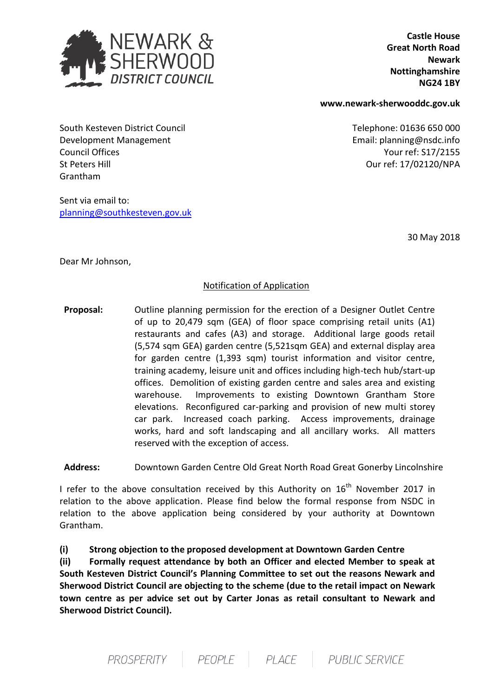

 **Castle House Great North Road Newark Nottinghamshire NG24 1BY**

**www.newark-sherwooddc.gov.uk**

Our ref: 17/02120/NPA

South Kesteven District Council **Telephone: 01636 650 000** Development Management **Email:** planning@nsdc.info Council Offices Your ref: S17/2155 St Peters Hill Grantham

Sent via email to: [planning@southkesteven.gov.uk](mailto:planning@southkesteven.gov.uk)

30 May 2018

Dear Mr Johnson,

## Notification of Application

 **Proposal:** Outline planning permission for the erection of a Designer Outlet Centre of up to 20,479 sqm (GEA) of floor space comprising retail units (A1) restaurants and cafes (A3) and storage. Additional large goods retail (5,574 sqm GEA) garden centre (5,521sqm GEA) and external display area for garden centre (1,393 sqm) tourist information and visitor centre, training academy, leisure unit and offices including high-tech hub/start-up offices. Demolition of existing garden centre and sales area and existing warehouse. Improvements to existing Downtown Grantham Store elevations. Reconfigured car-parking and provision of new multi storey car park. Increased coach parking. Access improvements, drainage works, hard and soft landscaping and all ancillary works. All matters reserved with the exception of access.

 **Address:** Downtown Garden Centre Old Great North Road Great Gonerby Lincolnshire

I refer to the above consultation received by this Authority on  $16<sup>th</sup>$  November 2017 in relation to the above application. Please find below the formal response from NSDC in relation to the above application being considered by your authority at Downtown Grantham.

**(i) Strong objection to the proposed development at Downtown Garden Centre**

**(ii) Formally request attendance by both an Officer and elected Member to speak at South Kesteven District Council's Planning Committee to set out the reasons Newark and Sherwood District Council are objecting to the scheme (due to the retail impact on Newark town centre as per advice set out by Carter Jonas as retail consultant to Newark and Sherwood District Council).**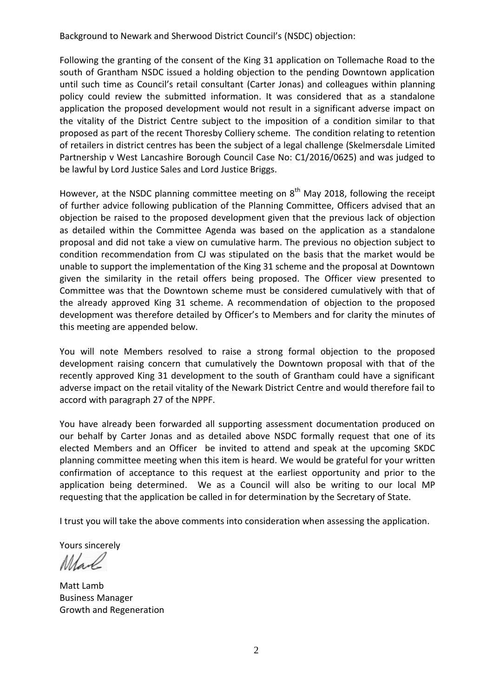Background to Newark and Sherwood District Council's (NSDC) objection:

Following the granting of the consent of the King 31 application on Tollemache Road to the south of Grantham NSDC issued a holding objection to the pending Downtown application until such time as Council's retail consultant (Carter Jonas) and colleagues within planning policy could review the submitted information. It was considered that as a standalone application the proposed development would not result in a significant adverse impact on the vitality of the District Centre subject to the imposition of a condition similar to that proposed as part of the recent Thoresby Colliery scheme. The condition relating to retention of retailers in district centres has been the subject of a legal challenge (Skelmersdale Limited Partnership v West Lancashire Borough Council Case No: C1/2016/0625) and was judged to be lawful by Lord Justice Sales and Lord Justice Briggs.

However, at the NSDC planning committee meeting on  $8<sup>th</sup>$  May 2018, following the receipt of further advice following publication of the Planning Committee, Officers advised that an objection be raised to the proposed development given that the previous lack of objection as detailed within the Committee Agenda was based on the application as a standalone proposal and did not take a view on cumulative harm. The previous no objection subject to condition recommendation from CJ was stipulated on the basis that the market would be unable to support the implementation of the King 31 scheme and the proposal at Downtown given the similarity in the retail offers being proposed. The Officer view presented to Committee was that the Downtown scheme must be considered cumulatively with that of the already approved King 31 scheme. A recommendation of objection to the proposed development was therefore detailed by Officer's to Members and for clarity the minutes of this meeting are appended below.

You will note Members resolved to raise a strong formal objection to the proposed development raising concern that cumulatively the Downtown proposal with that of the recently approved King 31 development to the south of Grantham could have a significant adverse impact on the retail vitality of the Newark District Centre and would therefore fail to accord with paragraph 27 of the NPPF.

You have already been forwarded all supporting assessment documentation produced on our behalf by Carter Jonas and as detailed above NSDC formally request that one of its elected Members and an Officer be invited to attend and speak at the upcoming SKDC planning committee meeting when this item is heard. We would be grateful for your written confirmation of acceptance to this request at the earliest opportunity and prior to the application being determined. We as a Council will also be writing to our local MP requesting that the application be called in for determination by the Secretary of State.

I trust you will take the above comments into consideration when assessing the application.

Yours sincerely

Mare

Matt Lamb Business Manager Growth and Regeneration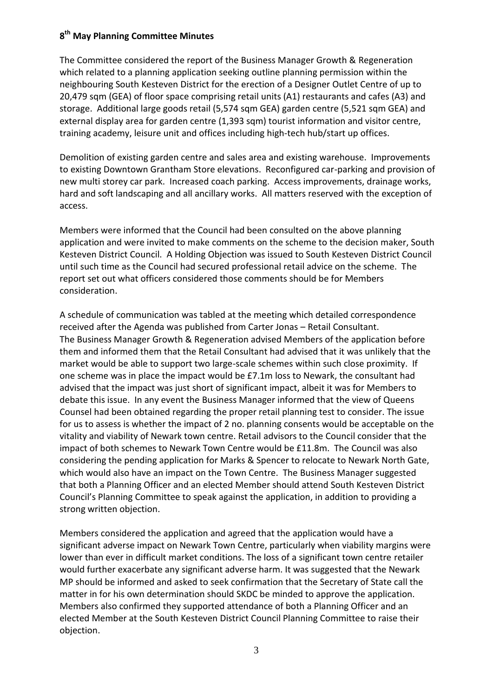## **8 th May Planning Committee Minutes**

The Committee considered the report of the Business Manager Growth & Regeneration which related to a planning application seeking outline planning permission within the neighbouring South Kesteven District for the erection of a Designer Outlet Centre of up to 20,479 sqm (GEA) of floor space comprising retail units (A1) restaurants and cafes (A3) and storage. Additional large goods retail (5,574 sqm GEA) garden centre (5,521 sqm GEA) and external display area for garden centre (1,393 sqm) tourist information and visitor centre, training academy, leisure unit and offices including high-tech hub/start up offices.

Demolition of existing garden centre and sales area and existing warehouse. Improvements to existing Downtown Grantham Store elevations. Reconfigured car-parking and provision of new multi storey car park. Increased coach parking. Access improvements, drainage works, hard and soft landscaping and all ancillary works. All matters reserved with the exception of access.

Members were informed that the Council had been consulted on the above planning application and were invited to make comments on the scheme to the decision maker, South Kesteven District Council. A Holding Objection was issued to South Kesteven District Council until such time as the Council had secured professional retail advice on the scheme. The report set out what officers considered those comments should be for Members consideration.

A schedule of communication was tabled at the meeting which detailed correspondence received after the Agenda was published from Carter Jonas – Retail Consultant. The Business Manager Growth & Regeneration advised Members of the application before them and informed them that the Retail Consultant had advised that it was unlikely that the market would be able to support two large-scale schemes within such close proximity. If one scheme was in place the impact would be £7.1m loss to Newark, the consultant had advised that the impact was just short of significant impact, albeit it was for Members to debate this issue. In any event the Business Manager informed that the view of Queens Counsel had been obtained regarding the proper retail planning test to consider. The issue for us to assess is whether the impact of 2 no. planning consents would be acceptable on the vitality and viability of Newark town centre. Retail advisors to the Council consider that the impact of both schemes to Newark Town Centre would be £11.8m. The Council was also considering the pending application for Marks & Spencer to relocate to Newark North Gate, which would also have an impact on the Town Centre. The Business Manager suggested that both a Planning Officer and an elected Member should attend South Kesteven District Council's Planning Committee to speak against the application, in addition to providing a strong written objection.

Members considered the application and agreed that the application would have a significant adverse impact on Newark Town Centre, particularly when viability margins were lower than ever in difficult market conditions. The loss of a significant town centre retailer would further exacerbate any significant adverse harm. It was suggested that the Newark MP should be informed and asked to seek confirmation that the Secretary of State call the matter in for his own determination should SKDC be minded to approve the application. Members also confirmed they supported attendance of both a Planning Officer and an elected Member at the South Kesteven District Council Planning Committee to raise their objection.